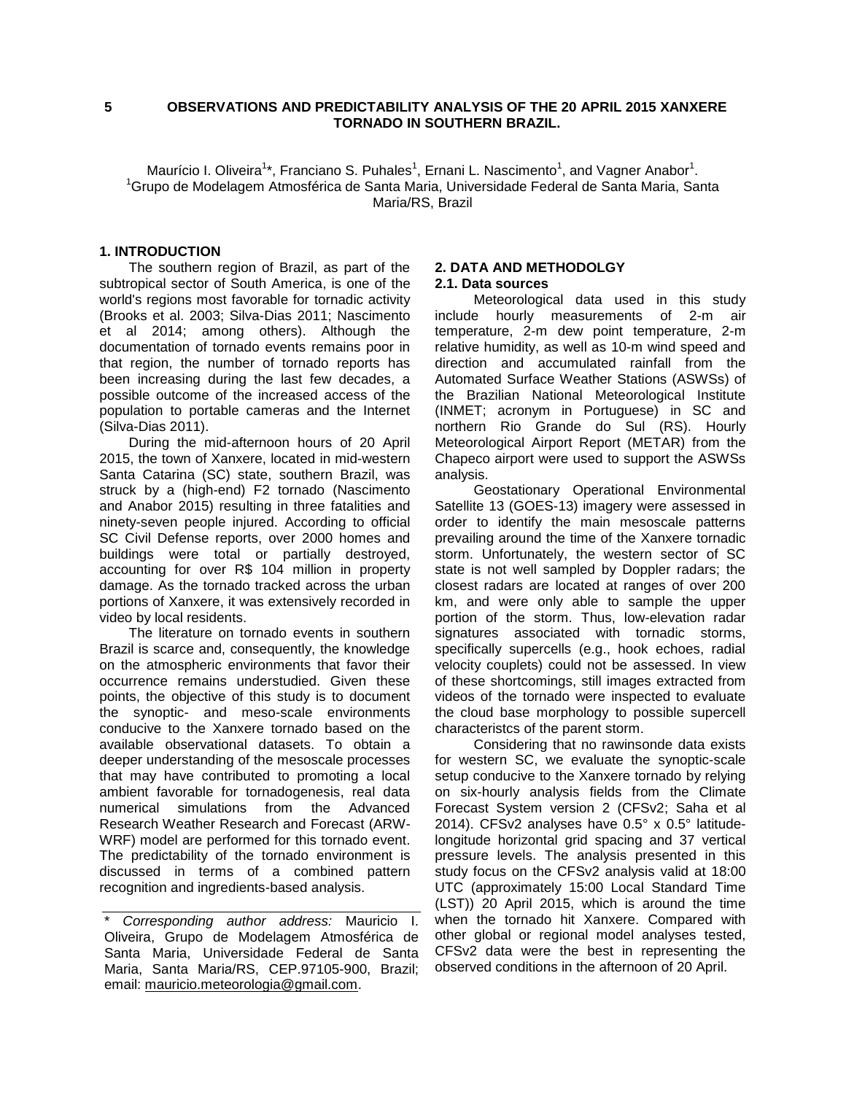# **5 OBSERVATIONS AND PREDICTABILITY ANALYSIS OF THE 20 APRIL 2015 XANXERE TORNADO IN SOUTHERN BRAZIL.**

Maurício I. Oliveira<sup>1\*</sup>, Franciano S. Puhales<sup>1</sup>, Ernani L. Nascimento<sup>1</sup>, and Vagner Anabor<sup>1</sup>. <sup>1</sup>Grupo de Modelagem Atmosférica de Santa Maria, Universidade Federal de Santa Maria, Santa Maria/RS, Brazil

### **1. INTRODUCTION**

The southern region of Brazil, as part of the subtropical sector of South America, is one of the world's regions most favorable for tornadic activity (Brooks et al. 2003; Silva-Dias 2011; Nascimento et al 2014; among others). Although the documentation of tornado events remains poor in that region, the number of tornado reports has been increasing during the last few decades, a possible outcome of the increased access of the population to portable cameras and the Internet (Silva-Dias 2011).

During the mid-afternoon hours of 20 April 2015, the town of Xanxere, located in mid-western Santa Catarina (SC) state, southern Brazil, was struck by a (high-end) F2 tornado (Nascimento and Anabor 2015) resulting in three fatalities and ninety-seven people injured. According to official SC Civil Defense reports, over 2000 homes and buildings were total or partially destroyed, accounting for over R\$ 104 million in property damage. As the tornado tracked across the urban portions of Xanxere, it was extensively recorded in video by local residents.

The literature on tornado events in southern Brazil is scarce and, consequently, the knowledge on the atmospheric environments that favor their occurrence remains understudied. Given these points, the objective of this study is to document the synoptic- and meso-scale environments conducive to the Xanxere tornado based on the available observational datasets. To obtain a deeper understanding of the mesoscale processes that may have contributed to promoting a local ambient favorable for tornadogenesis, real data numerical simulations from the Advanced Research Weather Research and Forecast (ARW-WRF) model are performed for this tornado event. The predictability of the tornado environment is discussed in terms of a combined pattern recognition and ingredients-based analysis.

## **2. DATA AND METHODOLGY 2.1. Data sources**

Meteorological data used in this study include hourly measurements of 2-m air temperature, 2-m dew point temperature, 2-m relative humidity, as well as 10-m wind speed and direction and accumulated rainfall from the Automated Surface Weather Stations (ASWSs) of the Brazilian National Meteorological Institute (INMET; acronym in Portuguese) in SC and northern Rio Grande do Sul (RS). Hourly Meteorological Airport Report (METAR) from the Chapeco airport were used to support the ASWSs analysis.

Geostationary Operational Environmental Satellite 13 (GOES-13) imagery were assessed in order to identify the main mesoscale patterns prevailing around the time of the Xanxere tornadic storm. Unfortunately, the western sector of SC state is not well sampled by Doppler radars; the closest radars are located at ranges of over 200 km, and were only able to sample the upper portion of the storm. Thus, low-elevation radar signatures associated with tornadic storms, specifically supercells (e.g., hook echoes, radial velocity couplets) could not be assessed. In view of these shortcomings, still images extracted from videos of the tornado were inspected to evaluate the cloud base morphology to possible supercell characteristcs of the parent storm.

Considering that no rawinsonde data exists for western SC, we evaluate the synoptic-scale setup conducive to the Xanxere tornado by relying on six-hourly analysis fields from the Climate Forecast System version 2 (CFSv2; Saha et al 2014). CFSv2 analyses have 0.5° x 0.5° latitudelongitude horizontal grid spacing and 37 vertical pressure levels. The analysis presented in this study focus on the CFSv2 analysis valid at 18:00 UTC (approximately 15:00 Local Standard Time (LST)) 20 April 2015, which is around the time when the tornado hit Xanxere. Compared with other global or regional model analyses tested, CFSv2 data were the best in representing the observed conditions in the afternoon of 20 April.

<sup>\*</sup> *Corresponding author address:* Mauricio I. Oliveira, Grupo de Modelagem Atmosférica de Santa Maria, Universidade Federal de Santa Maria, Santa Maria/RS, CEP.97105-900, Brazil; email: mauricio.meteorologia@gmail.com.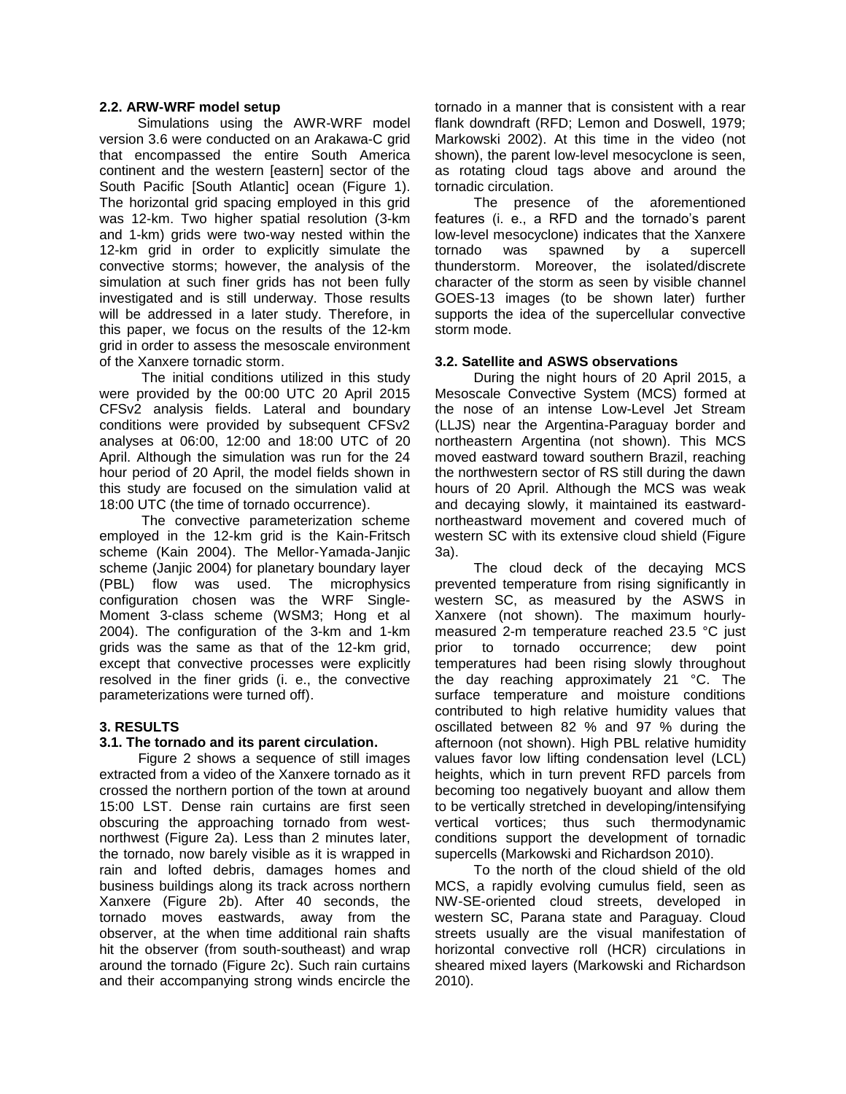### **2.2. ARW-WRF model setup**

 Simulations using the AWR-WRF model version 3.6 were conducted on an Arakawa-C grid that encompassed the entire South America continent and the western [eastern] sector of the South Pacific [South Atlantic] ocean (Figure 1). The horizontal grid spacing employed in this grid was 12-km. Two higher spatial resolution (3-km and 1-km) grids were two-way nested within the 12-km grid in order to explicitly simulate the convective storms; however, the analysis of the simulation at such finer grids has not been fully investigated and is still underway. Those results will be addressed in a later study. Therefore, in this paper, we focus on the results of the 12-km grid in order to assess the mesoscale environment of the Xanxere tornadic storm.

 The initial conditions utilized in this study were provided by the 00:00 UTC 20 April 2015 CFSv2 analysis fields. Lateral and boundary conditions were provided by subsequent CFSv2 analyses at 06:00, 12:00 and 18:00 UTC of 20 April. Although the simulation was run for the 24 hour period of 20 April, the model fields shown in this study are focused on the simulation valid at 18:00 UTC (the time of tornado occurrence).

 The convective parameterization scheme employed in the 12-km grid is the Kain-Fritsch scheme (Kain 2004). The Mellor-Yamada-Janjic scheme (Janjic 2004) for planetary boundary layer (PBL) flow was used. The microphysics configuration chosen was the WRF Single-Moment 3-class scheme (WSM3; Hong et al 2004). The configuration of the 3-km and 1-km grids was the same as that of the 12-km grid, except that convective processes were explicitly resolved in the finer grids (i. e., the convective parameterizations were turned off).

## **3. RESULTS**

#### **3.1. The tornado and its parent circulation.**

Figure 2 shows a sequence of still images extracted from a video of the Xanxere tornado as it crossed the northern portion of the town at around 15:00 LST. Dense rain curtains are first seen obscuring the approaching tornado from westnorthwest (Figure 2a). Less than 2 minutes later, the tornado, now barely visible as it is wrapped in rain and lofted debris, damages homes and business buildings along its track across northern Xanxere (Figure 2b). After 40 seconds, the tornado moves eastwards, away from the observer, at the when time additional rain shafts hit the observer (from south-southeast) and wrap around the tornado (Figure 2c). Such rain curtains and their accompanying strong winds encircle the

tornado in a manner that is consistent with a rear flank downdraft (RFD; Lemon and Doswell, 1979; Markowski 2002). At this time in the video (not shown), the parent low-level mesocyclone is seen, as rotating cloud tags above and around the tornadic circulation.

The presence of the aforementioned features (i. e., a RFD and the tornado's parent low-level mesocyclone) indicates that the Xanxere tornado was spawned by a supercell thunderstorm. Moreover, the isolated/discrete character of the storm as seen by visible channel GOES-13 images (to be shown later) further supports the idea of the supercellular convective storm mode.

## **3.2. Satellite and ASWS observations**

During the night hours of 20 April 2015, a Mesoscale Convective System (MCS) formed at the nose of an intense Low-Level Jet Stream (LLJS) near the Argentina-Paraguay border and northeastern Argentina (not shown). This MCS moved eastward toward southern Brazil, reaching the northwestern sector of RS still during the dawn hours of 20 April. Although the MCS was weak and decaying slowly, it maintained its eastwardnortheastward movement and covered much of western SC with its extensive cloud shield (Figure 3a).

The cloud deck of the decaying MCS prevented temperature from rising significantly in western SC, as measured by the ASWS in Xanxere (not shown). The maximum hourlymeasured 2-m temperature reached 23.5 °C just prior to tornado occurrence; dew point temperatures had been rising slowly throughout the day reaching approximately 21 °C. The surface temperature and moisture conditions contributed to high relative humidity values that oscillated between 82 % and 97 % during the afternoon (not shown). High PBL relative humidity values favor low lifting condensation level (LCL) heights, which in turn prevent RFD parcels from becoming too negatively buoyant and allow them to be vertically stretched in developing/intensifying vertical vortices; thus such thermodynamic conditions support the development of tornadic supercells (Markowski and Richardson 2010).

To the north of the cloud shield of the old MCS, a rapidly evolving cumulus field, seen as NW-SE-oriented cloud streets, developed in western SC, Parana state and Paraguay. Cloud streets usually are the visual manifestation of horizontal convective roll (HCR) circulations in sheared mixed layers (Markowski and Richardson 2010).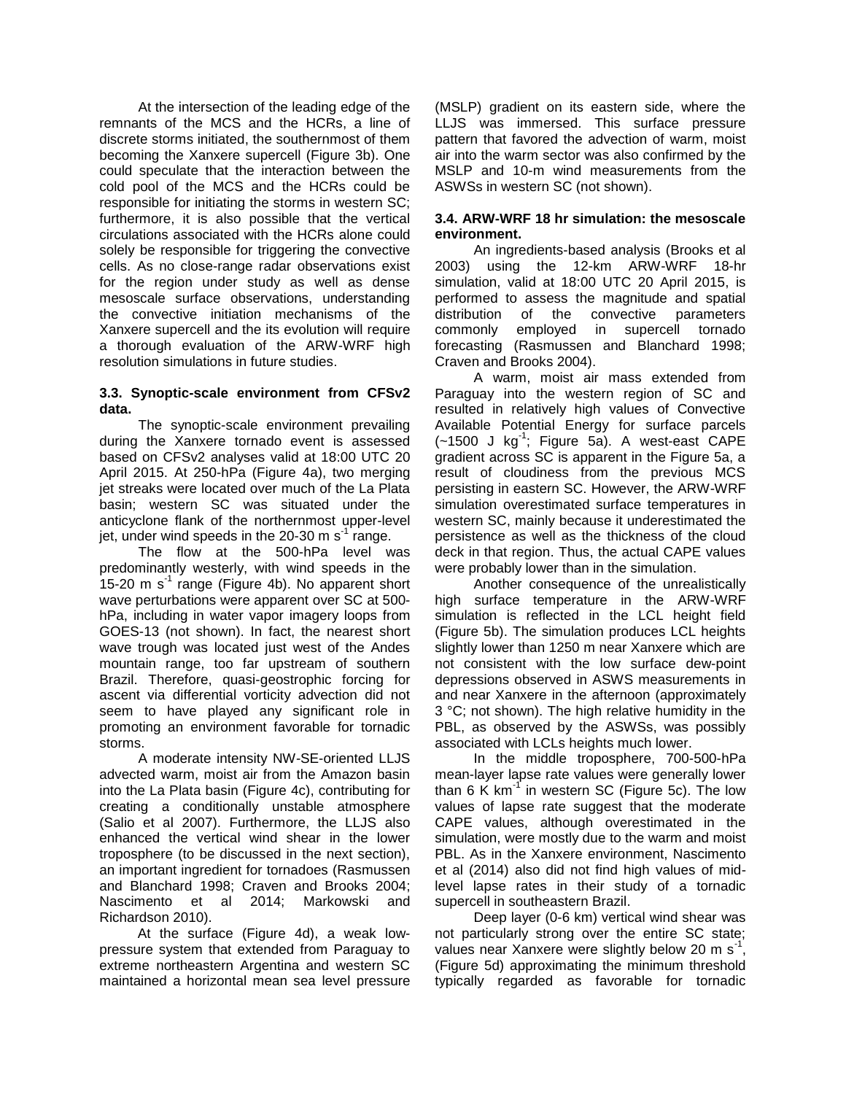At the intersection of the leading edge of the remnants of the MCS and the HCRs, a line of discrete storms initiated, the southernmost of them becoming the Xanxere supercell (Figure 3b). One could speculate that the interaction between the cold pool of the MCS and the HCRs could be responsible for initiating the storms in western SC; furthermore, it is also possible that the vertical circulations associated with the HCRs alone could solely be responsible for triggering the convective cells. As no close-range radar observations exist for the region under study as well as dense mesoscale surface observations, understanding the convective initiation mechanisms of the Xanxere supercell and the its evolution will require a thorough evaluation of the ARW-WRF high resolution simulations in future studies.

# **3.3. Synoptic-scale environment from CFSv2 data.**

The synoptic-scale environment prevailing during the Xanxere tornado event is assessed based on CFSv2 analyses valid at 18:00 UTC 20 April 2015. At 250-hPa (Figure 4a), two merging jet streaks were located over much of the La Plata basin; western SC was situated under the anticyclone flank of the northernmost upper-level jet, under wind speeds in the 20-30 m s<sup>-1</sup> range.

The flow at the 500-hPa level was predominantly westerly, with wind speeds in the  $15-20$  m s<sup>-1</sup> range (Figure 4b). No apparent short wave perturbations were apparent over SC at 500 hPa, including in water vapor imagery loops from GOES-13 (not shown). In fact, the nearest short wave trough was located just west of the Andes mountain range, too far upstream of southern Brazil. Therefore, quasi-geostrophic forcing for ascent via differential vorticity advection did not seem to have played any significant role in promoting an environment favorable for tornadic storms.

A moderate intensity NW-SE-oriented LLJS advected warm, moist air from the Amazon basin into the La Plata basin (Figure 4c), contributing for creating a conditionally unstable atmosphere (Salio et al 2007). Furthermore, the LLJS also enhanced the vertical wind shear in the lower troposphere (to be discussed in the next section), an important ingredient for tornadoes (Rasmussen and Blanchard 1998; Craven and Brooks 2004; Nascimento et al 2014; Markowski and Richardson 2010).

 At the surface (Figure 4d), a weak lowpressure system that extended from Paraguay to extreme northeastern Argentina and western SC maintained a horizontal mean sea level pressure (MSLP) gradient on its eastern side, where the LLJS was immersed. This surface pressure pattern that favored the advection of warm, moist air into the warm sector was also confirmed by the MSLP and 10-m wind measurements from the ASWSs in western SC (not shown).

# **3.4. ARW-WRF 18 hr simulation: the mesoscale environment.**

An ingredients-based analysis (Brooks et al 2003) using the 12-km ARW-WRF 18-hr simulation, valid at 18:00 UTC 20 April 2015, is performed to assess the magnitude and spatial distribution of the convective parameters commonly employed in supercell tornado forecasting (Rasmussen and Blanchard 1998; Craven and Brooks 2004).

A warm, moist air mass extended from Paraguay into the western region of SC and resulted in relatively high values of Convective Available Potential Energy for surface parcels  $(-1500$  J kg<sup>-1</sup>; Figure 5a). A west-east CAPE gradient across SC is apparent in the Figure 5a, a result of cloudiness from the previous MCS persisting in eastern SC. However, the ARW-WRF simulation overestimated surface temperatures in western SC, mainly because it underestimated the persistence as well as the thickness of the cloud deck in that region. Thus, the actual CAPE values were probably lower than in the simulation.

Another consequence of the unrealistically high surface temperature in the ARW-WRF simulation is reflected in the LCL height field (Figure 5b). The simulation produces LCL heights slightly lower than 1250 m near Xanxere which are not consistent with the low surface dew-point depressions observed in ASWS measurements in and near Xanxere in the afternoon (approximately 3 °C; not shown). The high relative humidity in the PBL, as observed by the ASWSs, was possibly associated with LCLs heights much lower.

In the middle troposphere, 700-500-hPa mean-layer lapse rate values were generally lower than 6 K km<sup>-1'</sup> in western SC (Figure 5c). The low values of lapse rate suggest that the moderate CAPE values, although overestimated in the simulation, were mostly due to the warm and moist PBL. As in the Xanxere environment, Nascimento et al (2014) also did not find high values of midlevel lapse rates in their study of a tornadic supercell in southeastern Brazil.

Deep layer (0-6 km) vertical wind shear was not particularly strong over the entire SC state; values near Xanxere were slightly below 20 m s<sup>-1</sup>, (Figure 5d) approximating the minimum threshold typically regarded as favorable for tornadic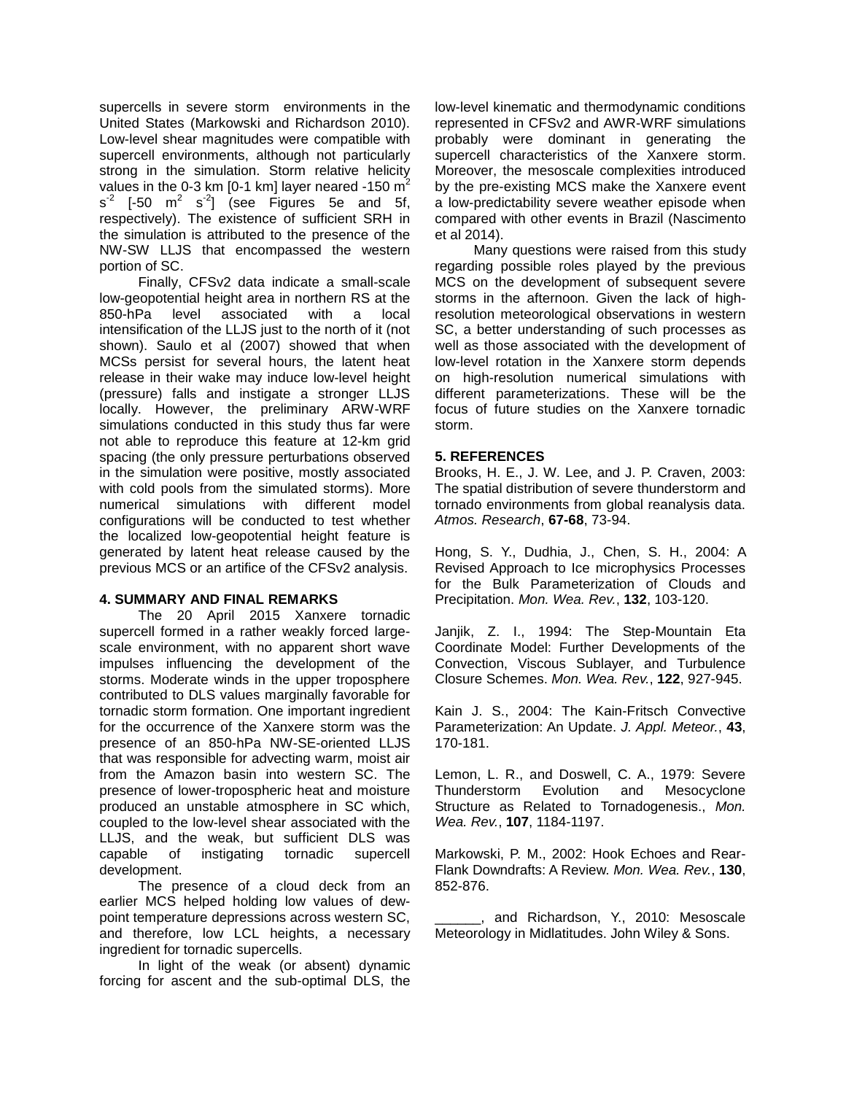supercells in severe storm environments in the United States (Markowski and Richardson 2010). Low-level shear magnitudes were compatible with supercell environments, although not particularly strong in the simulation. Storm relative helicity values in the 0-3 km  $[0-1 \text{ km}]$  layer neared -150 m<sup>2</sup>  $s^2$  [-50 m<sup>2</sup> s<sup>2</sup>] (see Figures 5e and 5f, respectively). The existence of sufficient SRH in the simulation is attributed to the presence of the NW-SW LLJS that encompassed the western portion of SC.

Finally, CFSv2 data indicate a small-scale low-geopotential height area in northern RS at the 850-hPa level associated with a local intensification of the LLJS just to the north of it (not shown). Saulo et al (2007) showed that when MCSs persist for several hours, the latent heat release in their wake may induce low-level height (pressure) falls and instigate a stronger LLJS locally. However, the preliminary ARW-WRF simulations conducted in this study thus far were not able to reproduce this feature at 12-km grid spacing (the only pressure perturbations observed in the simulation were positive, mostly associated with cold pools from the simulated storms). More numerical simulations with different model configurations will be conducted to test whether the localized low-geopotential height feature is generated by latent heat release caused by the previous MCS or an artifice of the CFSv2 analysis.

# **4. SUMMARY AND FINAL REMARKS**

The 20 April 2015 Xanxere tornadic supercell formed in a rather weakly forced largescale environment, with no apparent short wave impulses influencing the development of the storms. Moderate winds in the upper troposphere contributed to DLS values marginally favorable for tornadic storm formation. One important ingredient for the occurrence of the Xanxere storm was the presence of an 850-hPa NW-SE-oriented LLJS that was responsible for advecting warm, moist air from the Amazon basin into western SC. The presence of lower-tropospheric heat and moisture produced an unstable atmosphere in SC which, coupled to the low-level shear associated with the LLJS, and the weak, but sufficient DLS was capable of instigating tornadic supercell development.

The presence of a cloud deck from an earlier MCS helped holding low values of dewpoint temperature depressions across western SC, and therefore, low LCL heights, a necessary ingredient for tornadic supercells.

In light of the weak (or absent) dynamic forcing for ascent and the sub-optimal DLS, the

low-level kinematic and thermodynamic conditions represented in CFSv2 and AWR-WRF simulations probably were dominant in generating the supercell characteristics of the Xanxere storm. Moreover, the mesoscale complexities introduced by the pre-existing MCS make the Xanxere event a low-predictability severe weather episode when compared with other events in Brazil (Nascimento et al 2014).

Many questions were raised from this study regarding possible roles played by the previous MCS on the development of subsequent severe storms in the afternoon. Given the lack of highresolution meteorological observations in western SC, a better understanding of such processes as well as those associated with the development of low-level rotation in the Xanxere storm depends on high-resolution numerical simulations with different parameterizations. These will be the focus of future studies on the Xanxere tornadic storm.

### **5. REFERENCES**

Brooks, H. E., J. W. Lee, and J. P. Craven, 2003: The spatial distribution of severe thunderstorm and tornado environments from global reanalysis data. *Atmos. Research*, **67-68**, 73-94.

Hong, S. Y., Dudhia, J., Chen, S. H., 2004: A Revised Approach to Ice microphysics Processes for the Bulk Parameterization of Clouds and Precipitation. *Mon. Wea. Rev.*, **132**, 103-120.

Janjik, Z. I., 1994: The Step-Mountain Eta Coordinate Model: Further Developments of the Convection, Viscous Sublayer, and Turbulence Closure Schemes. *Mon. Wea. Rev.*, **122**, 927-945.

Kain J. S., 2004: The Kain-Fritsch Convective Parameterization: An Update. *J. Appl. Meteor.*, **43**, 170-181.

Lemon, L. R., and Doswell, C. A., 1979: Severe Thunderstorm Evolution and Mesocyclone Structure as Related to Tornadogenesis., *Mon. Wea. Rev.*, **107**, 1184-1197.

Markowski, P. M., 2002: Hook Echoes and Rear-Flank Downdrafts: A Review. *Mon. Wea. Rev.*, **130**, 852-876.

\_\_\_\_\_\_, and Richardson, Y., 2010: Mesoscale Meteorology in Midlatitudes. John Wiley & Sons.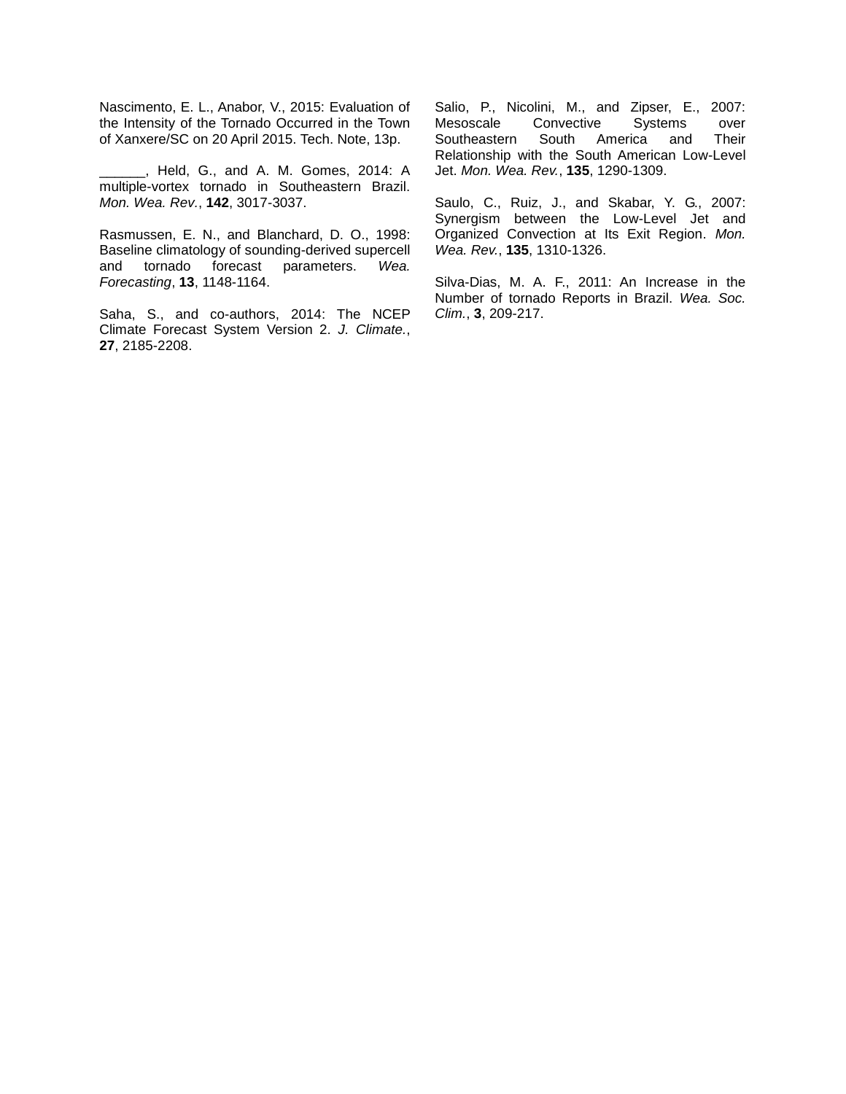Nascimento, E. L., Anabor, V., 2015: Evaluation of the Intensity of the Tornado Occurred in the Town of Xanxere/SC on 20 April 2015. Tech. Note, 13p.

\_\_\_\_\_\_, Held, G., and A. M. Gomes, 2014: A multiple-vortex tornado in Southeastern Brazil. *Mon. Wea. Rev.*, **142**, 3017-3037.

Rasmussen, E. N., and Blanchard, D. O., 1998: Baseline climatology of sounding-derived supercell and tornado forecast parameters. *Wea. Forecasting*, **13**, 1148-1164.

Saha, S., and co-authors, 2014: The NCEP Climate Forecast System Version 2. *J. Climate.*, **27**, 2185-2208.

Salio, P., Nicolini, M., and Zipser, E., 2007: Mesoscale Convective Systems over Southeastern South America and Their Relationship with the South American Low-Level Jet. *Mon. Wea. Rev.*, **135**, 1290-1309.

Saulo, C., Ruiz, J., and Skabar, Y. G., 2007: Synergism between the Low-Level Jet and Organized Convection at Its Exit Region. *Mon. Wea. Rev.*, **135**, 1310-1326.

Silva-Dias, M. A. F., 2011: An Increase in the Number of tornado Reports in Brazil. *Wea. Soc. Clim.*, **3**, 209-217.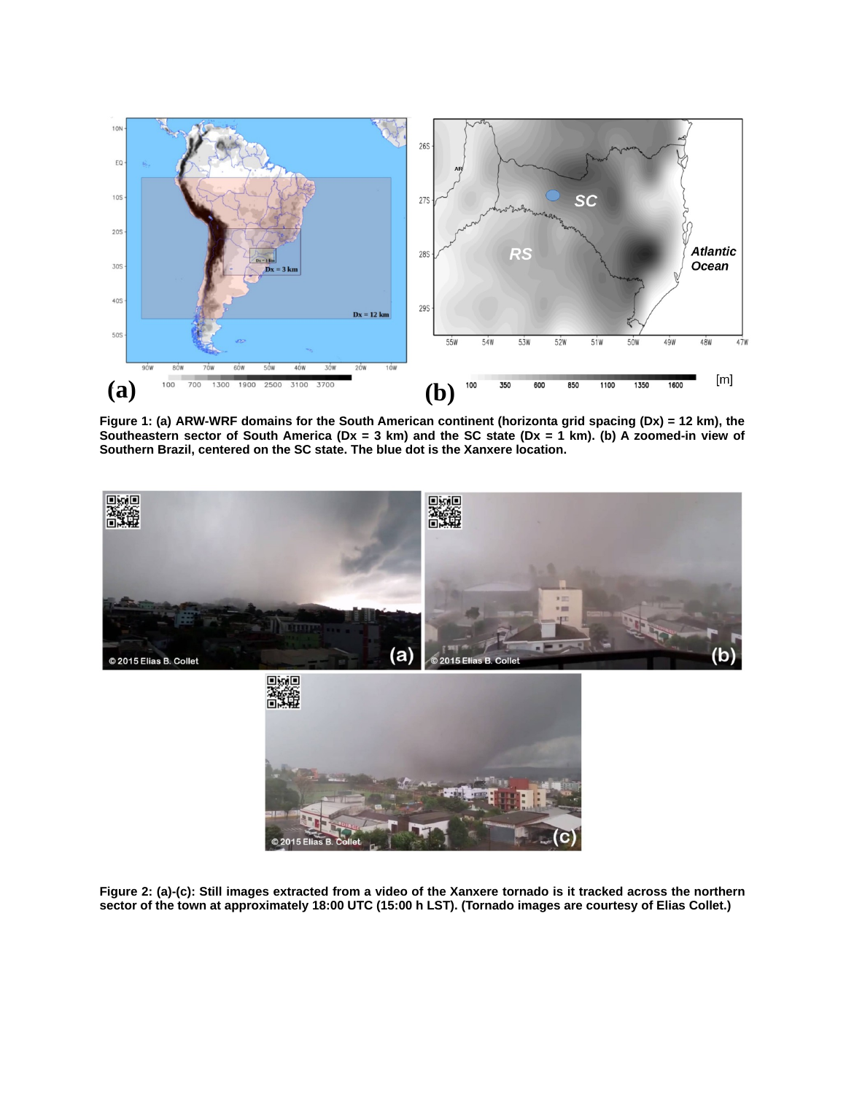

**Figure 1: (a) ARW-WRF domains for the South American continent (horizonta grid spacing (Dx) = 12 km), the Southeastern sector of South America (Dx = 3 km) and the SC state (Dx = 1 km). (b) A zoomed-in view of Southern Brazil, centered on the SC state. The blue dot is the Xanxere location.** 





**Figure 2: (a)-(c): Still images extracted from a video of the Xanxere tornado is it tracked across the northern sector of the town at approximately 18:00 UTC (15:00 h LST). (Tornado images are courtesy of Elias Collet.)**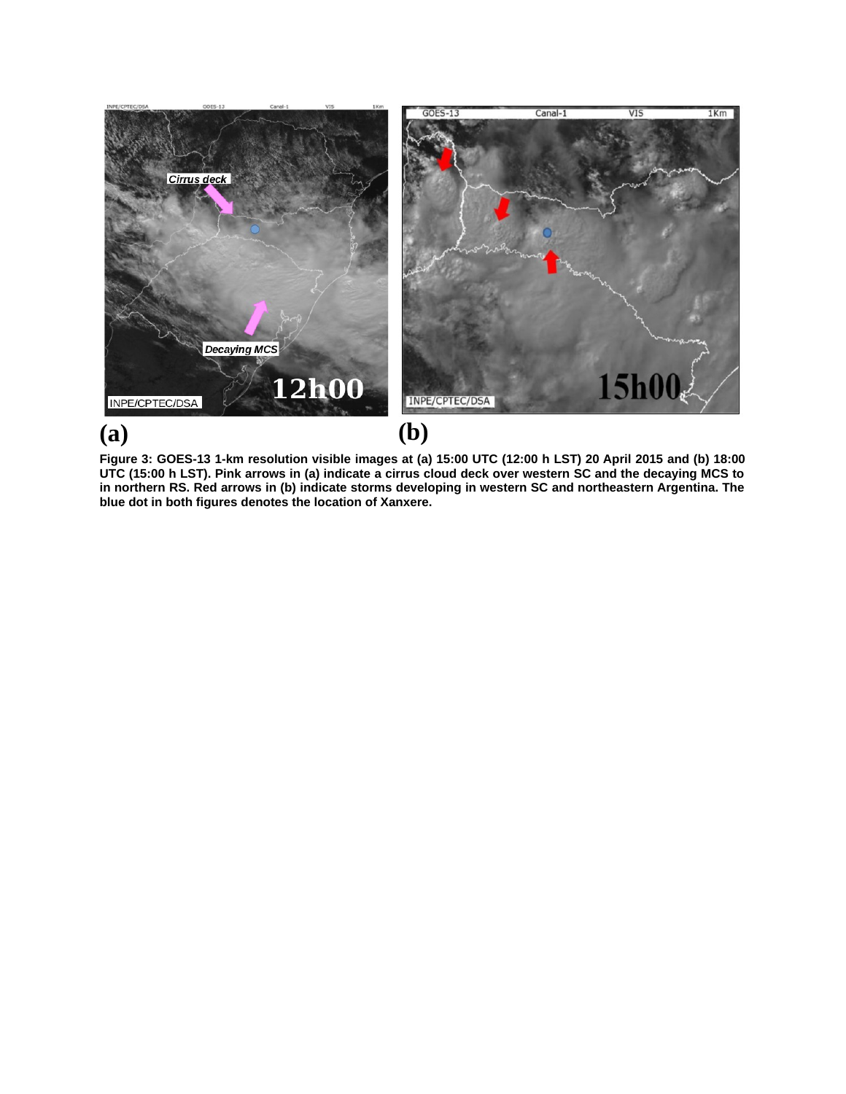

**Figure 3: GOES-13 1-km resolution visible images at (a) 15:00 UTC (12:00 h LST) 20 April 2015 and (b) 18:00 UTC (15:00 h LST). Pink arrows in (a) indicate a cirrus cloud deck over western SC and the decaying MCS to in northern RS. Red arrows in (b) indicate storms developing in western SC and northeastern Argentina. The blue dot in both figures denotes the location of Xanxere.**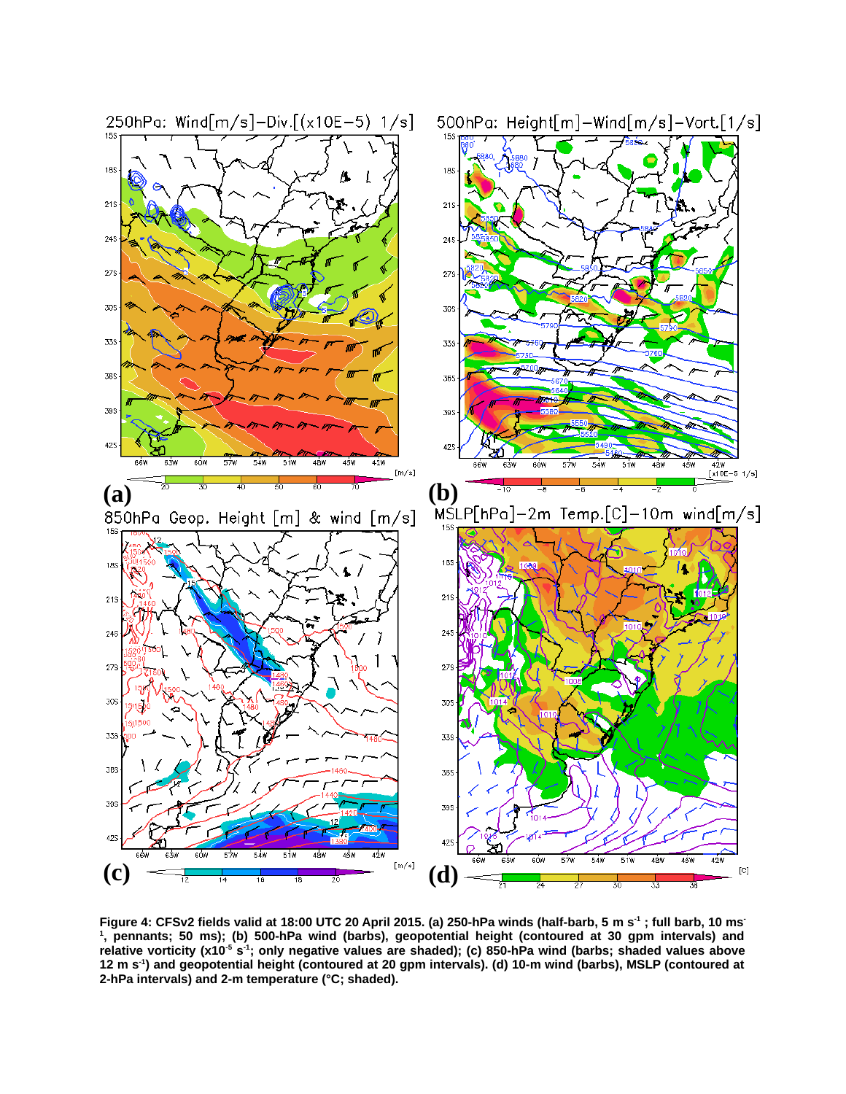

**Figure 4: CFSv2 fields valid at 18:00 UTC 20 April 2015. (a) 250-hPa winds (half-barb,
5 m s-1 ; full barb,
10 ms-1 ,
pennants; 50 ms); (b) 500-hPa wind (barbs),
geopotential height (contoured at 30 gpm intervals) and relative vorticity (x10-5 s-1; only negative values are shaded); (c) 850-hPa wind (barbs; shaded values above 12 m s-1) and geopotential height (contoured at 20 gpm intervals). (d) 10-m wind (barbs),
MSLP (contoured at 2-hPa intervals) and 2-m temperature (°C; shaded).**